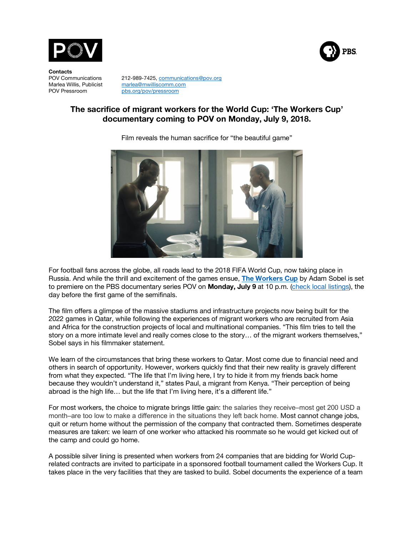

**Contacts**

POV Communications 212-989-7425, communications@pov.org<br>Marlea Willis, Publicist marlea@mwilliscomm.com marlea@mwilliscomm.com POV Pressroom pbs.org/pov/pressroom

# **The sacrifice of migrant workers for the World Cup: 'The Workers Cup' documentary coming to POV on Monday, July 9, 2018.**

PBS.



Film reveals the human sacrifice for "the beautiful game"

For football fans across the globe, all roads lead to the 2018 FIFA World Cup, now taking place in Russia. And while the thrill and excitement of the games ensue, **The Workers Cup** by Adam Sobel is set to premiere on the PBS documentary series POV on **Monday, July 9** at 10 p.m. (check local listings), the day before the first game of the semifinals.

The film offers a glimpse of the massive stadiums and infrastructure projects now being built for the 2022 games in Qatar, while following the experiences of migrant workers who are recruited from Asia and Africa for the construction projects of local and multinational companies. "This film tries to tell the story on a more intimate level and really comes close to the story… of the migrant workers themselves," Sobel says in his filmmaker statement.

We learn of the circumstances that bring these workers to Qatar. Most come due to financial need and others in search of opportunity. However, workers quickly find that their new reality is gravely different from what they expected. "The life that I'm living here, I try to hide it from my friends back home because they wouldn't understand it," states Paul, a migrant from Kenya. "Their perception of being abroad is the high life… but the life that I'm living here, it's a different life."

For most workers, the choice to migrate brings little gain: the salaries they receive–most get 200 USD a month–are too low to make a difference in the situations they left back home. Most cannot change jobs, quit or return home without the permission of the company that contracted them. Sometimes desperate measures are taken: we learn of one worker who attacked his roommate so he would get kicked out of the camp and could go home.

A possible silver lining is presented when workers from 24 companies that are bidding for World Cuprelated contracts are invited to participate in a sponsored football tournament called the Workers Cup. It takes place in the very facilities that they are tasked to build. Sobel documents the experience of a team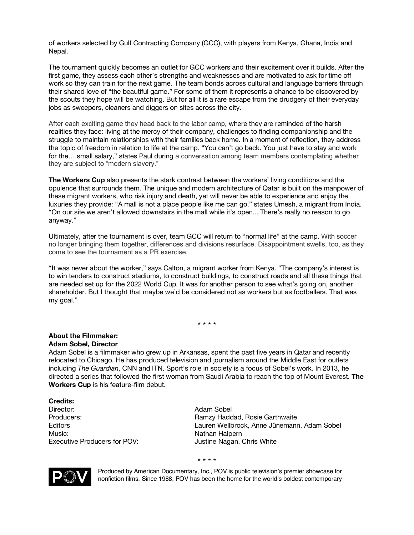of workers selected by Gulf Contracting Company (GCC), with players from Kenya, Ghana, India and Nepal.

The tournament quickly becomes an outlet for GCC workers and their excitement over it builds. After the first game, they assess each other's strengths and weaknesses and are motivated to ask for time off work so they can train for the next game. The team bonds across cultural and language barriers through their shared love of "the beautiful game." For some of them it represents a chance to be discovered by the scouts they hope will be watching. But for all it is a rare escape from the drudgery of their everyday jobs as sweepers, cleaners and diggers on sites across the city.

After each exciting game they head back to the labor camp, where they are reminded of the harsh realities they face: living at the mercy of their company, challenges to finding companionship and the struggle to maintain relationships with their families back home. In a moment of reflection, they address the topic of freedom in relation to life at the camp. "You can't go back. You just have to stay and work for the… small salary," states Paul during a conversation among team members contemplating whether they are subject to "modern slavery."

**The Workers Cup** also presents the stark contrast between the workers' living conditions and the opulence that surrounds them. The unique and modern architecture of Qatar is built on the manpower of these migrant workers, who risk injury and death, yet will never be able to experience and enjoy the luxuries they provide: "A mall is not a place people like me can go," states Umesh, a migrant from India. "On our site we aren't allowed downstairs in the mall while it's open... There's really no reason to go anyway."

Ultimately, after the tournament is over, team GCC will return to "normal life" at the camp. With soccer no longer bringing them together, differences and divisions resurface. Disappointment swells, too, as they come to see the tournament as a PR exercise.

"It was never about the worker," says Calton, a migrant worker from Kenya. "The company's interest is to win tenders to construct stadiums, to construct buildings, to construct roads and all these things that are needed set up for the 2022 World Cup. It was for another person to see what's going on, another shareholder. But I thought that maybe we'd be considered not as workers but as footballers. That was my goal."

\* \* \* \*

#### **About the Filmmaker: Adam Sobel, Director**

Adam Sobel is a filmmaker who grew up in Arkansas, spent the past five years in Qatar and recently relocated to Chicago. He has produced television and journalism around the Middle East for outlets including *The Guardian*, CNN and ITN. Sport's role in society is a focus of Sobel's work. In 2013, he directed a series that followed the first woman from Saudi Arabia to reach the top of Mount Everest. **The Workers Cup** is his feature-film debut.

**Credits:** Director: Adam Sobel Music: Nathan Halpern Executive Producers for POV: Justine Nagan, Chris White

Producers: **Ramzy Haddad, Rosie Garthwaite** Ramzy Haddad, Rosie Garthwaite Editors Lauren Wellbrock, Anne Jünemann, Adam Sobel

\* \* \* \*



Produced by American Documentary, Inc., POV is public television's premier showcase for nonfiction films. Since 1988, POV has been the home for the world's boldest contemporary